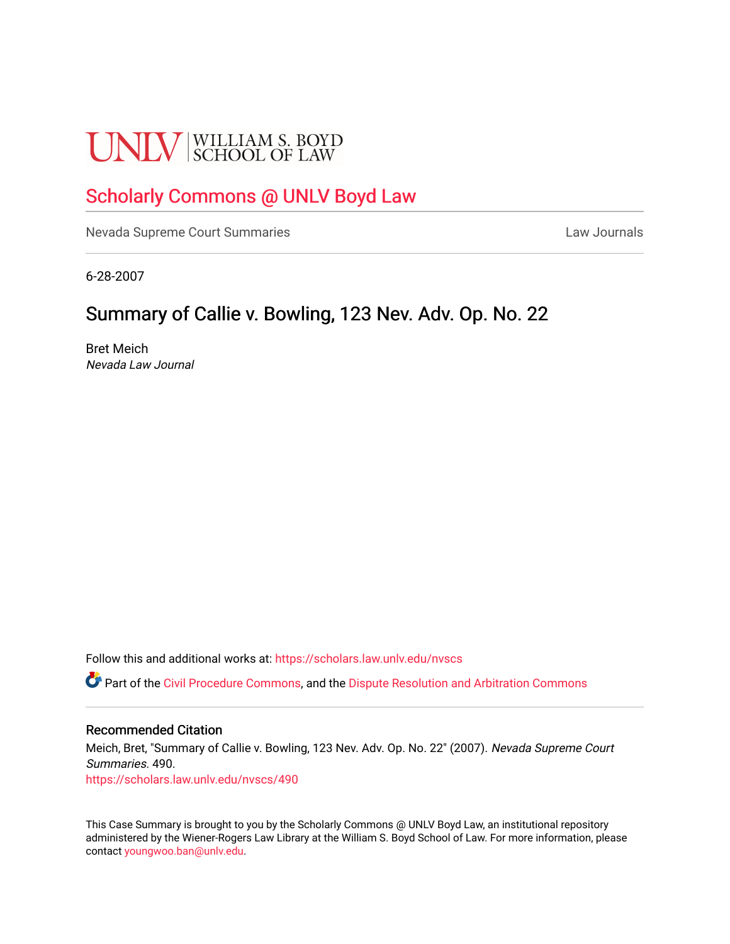# **UNLV** SCHOOL OF LAW

## [Scholarly Commons @ UNLV Boyd Law](https://scholars.law.unlv.edu/)

[Nevada Supreme Court Summaries](https://scholars.law.unlv.edu/nvscs) **Law Journals** Law Journals

6-28-2007

## Summary of Callie v. Bowling, 123 Nev. Adv. Op. No. 22.

Bret Meich Nevada Law Journal

Follow this and additional works at: [https://scholars.law.unlv.edu/nvscs](https://scholars.law.unlv.edu/nvscs?utm_source=scholars.law.unlv.edu%2Fnvscs%2F490&utm_medium=PDF&utm_campaign=PDFCoverPages)

**C** Part of the [Civil Procedure Commons,](http://network.bepress.com/hgg/discipline/584?utm_source=scholars.law.unlv.edu%2Fnvscs%2F490&utm_medium=PDF&utm_campaign=PDFCoverPages) and the Dispute Resolution and Arbitration Commons

#### Recommended Citation

Meich, Bret, "Summary of Callie v. Bowling, 123 Nev. Adv. Op. No. 22" (2007). Nevada Supreme Court Summaries. 490. [https://scholars.law.unlv.edu/nvscs/490](https://scholars.law.unlv.edu/nvscs/490?utm_source=scholars.law.unlv.edu%2Fnvscs%2F490&utm_medium=PDF&utm_campaign=PDFCoverPages)

This Case Summary is brought to you by the Scholarly Commons @ UNLV Boyd Law, an institutional repository administered by the Wiener-Rogers Law Library at the William S. Boyd School of Law. For more information, please contact [youngwoo.ban@unlv.edu](mailto:youngwoo.ban@unlv.edu).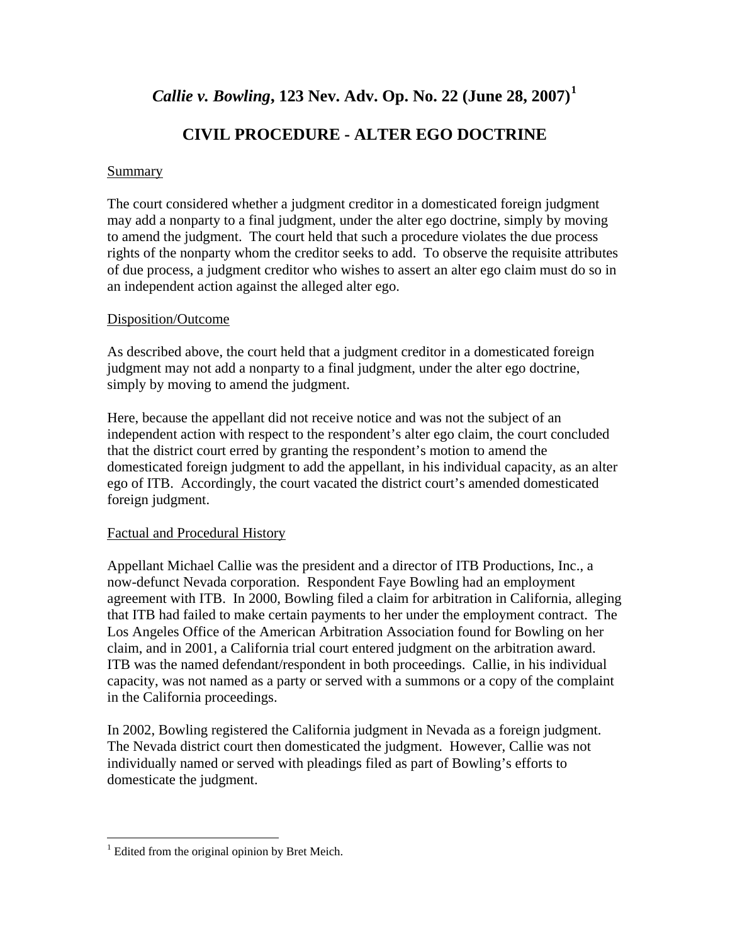### *Callie v. Bowling***, 123 Nev. Adv. Op. No. 22 (June 28, 2007)[1](#page-1-0)**

## **CIVIL PROCEDURE - ALTER EGO DOCTRINE**

#### Summary

The court considered whether a judgment creditor in a domesticated foreign judgment may add a nonparty to a final judgment, under the alter ego doctrine, simply by moving to amend the judgment. The court held that such a procedure violates the due process rights of the nonparty whom the creditor seeks to add. To observe the requisite attributes of due process, a judgment creditor who wishes to assert an alter ego claim must do so in an independent action against the alleged alter ego.

#### Disposition/Outcome

As described above, the court held that a judgment creditor in a domesticated foreign judgment may not add a nonparty to a final judgment, under the alter ego doctrine, simply by moving to amend the judgment.

Here, because the appellant did not receive notice and was not the subject of an independent action with respect to the respondent's alter ego claim, the court concluded that the district court erred by granting the respondent's motion to amend the domesticated foreign judgment to add the appellant, in his individual capacity, as an alter ego of ITB. Accordingly, the court vacated the district court's amended domesticated foreign judgment.

#### Factual and Procedural History

Appellant Michael Callie was the president and a director of ITB Productions, Inc., a now-defunct Nevada corporation. Respondent Faye Bowling had an employment agreement with ITB. In 2000, Bowling filed a claim for arbitration in California, alleging that ITB had failed to make certain payments to her under the employment contract. The Los Angeles Office of the American Arbitration Association found for Bowling on her claim, and in 2001, a California trial court entered judgment on the arbitration award. ITB was the named defendant/respondent in both proceedings. Callie, in his individual capacity, was not named as a party or served with a summons or a copy of the complaint in the California proceedings.

In 2002, Bowling registered the California judgment in Nevada as a foreign judgment. The Nevada district court then domesticated the judgment. However, Callie was not individually named or served with pleadings filed as part of Bowling's efforts to domesticate the judgment.

 $\overline{a}$ 

<span id="page-1-0"></span> $<sup>1</sup>$  Edited from the original opinion by Bret Meich.</sup>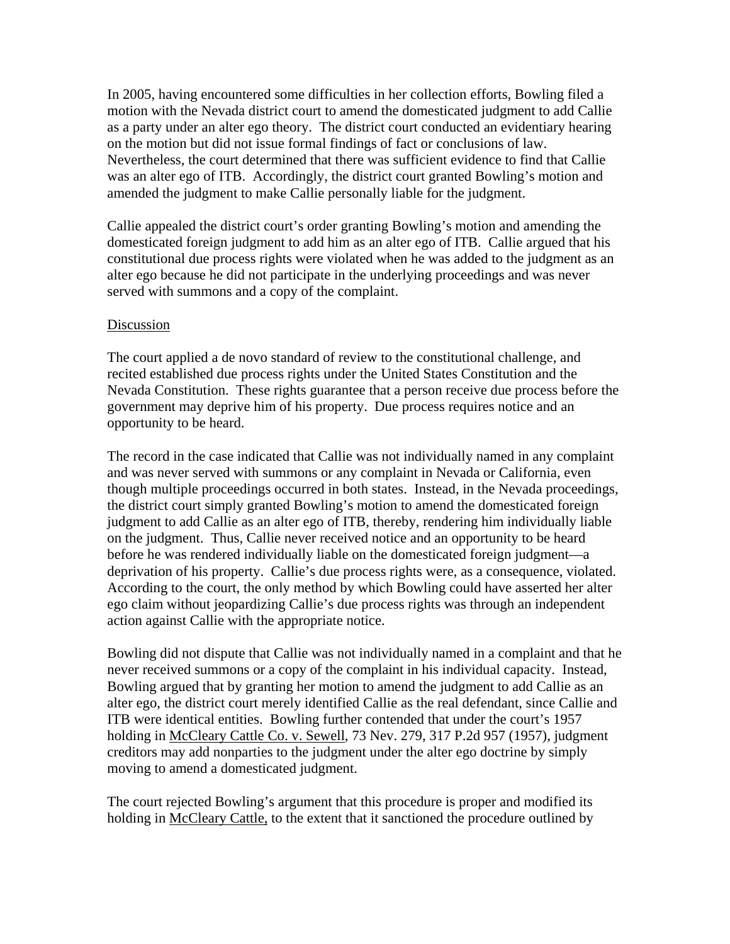In 2005, having encountered some difficulties in her collection efforts, Bowling filed a motion with the Nevada district court to amend the domesticated judgment to add Callie as a party under an alter ego theory. The district court conducted an evidentiary hearing on the motion but did not issue formal findings of fact or conclusions of law. Nevertheless, the court determined that there was sufficient evidence to find that Callie was an alter ego of ITB. Accordingly, the district court granted Bowling's motion and amended the judgment to make Callie personally liable for the judgment.

Callie appealed the district court's order granting Bowling's motion and amending the domesticated foreign judgment to add him as an alter ego of ITB. Callie argued that his constitutional due process rights were violated when he was added to the judgment as an alter ego because he did not participate in the underlying proceedings and was never served with summons and a copy of the complaint.

#### Discussion

The court applied a de novo standard of review to the constitutional challenge, and recited established due process rights under the United States Constitution and the Nevada Constitution. These rights guarantee that a person receive due process before the government may deprive him of his property. Due process requires notice and an opportunity to be heard.

The record in the case indicated that Callie was not individually named in any complaint and was never served with summons or any complaint in Nevada or California, even though multiple proceedings occurred in both states. Instead, in the Nevada proceedings, the district court simply granted Bowling's motion to amend the domesticated foreign judgment to add Callie as an alter ego of ITB, thereby, rendering him individually liable on the judgment. Thus, Callie never received notice and an opportunity to be heard before he was rendered individually liable on the domesticated foreign judgment—a deprivation of his property. Callie's due process rights were, as a consequence, violated. According to the court, the only method by which Bowling could have asserted her alter ego claim without jeopardizing Callie's due process rights was through an independent action against Callie with the appropriate notice.

Bowling did not dispute that Callie was not individually named in a complaint and that he never received summons or a copy of the complaint in his individual capacity. Instead, Bowling argued that by granting her motion to amend the judgment to add Callie as an alter ego, the district court merely identified Callie as the real defendant, since Callie and ITB were identical entities. Bowling further contended that under the court's 1957 holding in McCleary Cattle Co. v. Sewell, 73 Nev. 279, 317 P.2d 957 (1957), judgment creditors may add nonparties to the judgment under the alter ego doctrine by simply moving to amend a domesticated judgment.

The court rejected Bowling's argument that this procedure is proper and modified its holding in McCleary Cattle, to the extent that it sanctioned the procedure outlined by